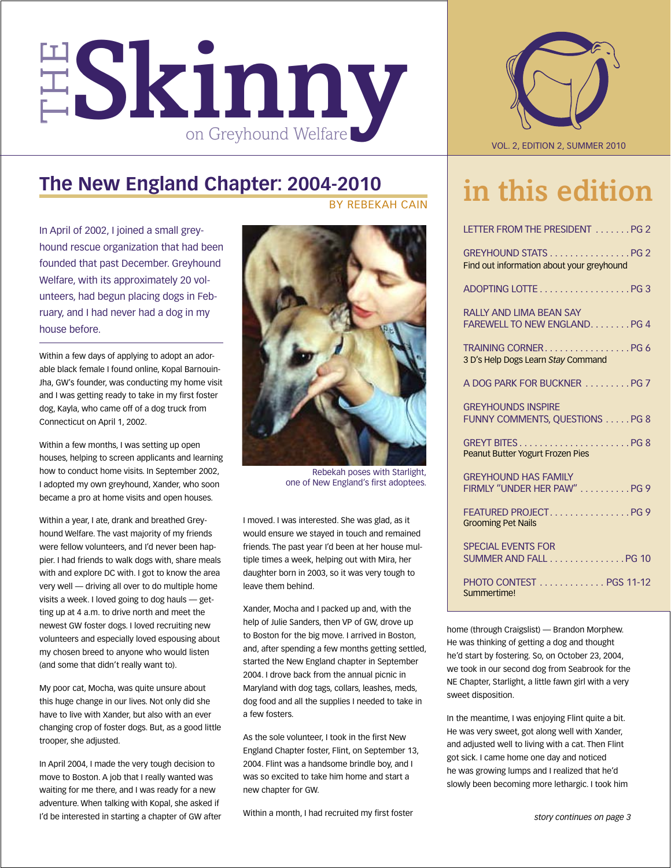

## **The New England Chapter: 2004-2010**

In April of 2002, I joined a small greyhound rescue organization that had been founded that past December. Greyhound Welfare, with its approximately 20 volunteers, had begun placing dogs in February, and I had never had a dog in my house before.

Within a few days of applying to adopt an adorable black female I found online, Kopal Barnouin-Jha, GW's founder, was conducting my home visit and I was getting ready to take in my first foster dog, Kayla, who came off of a dog truck from Connecticut on April 1, 2002.

Within a few months, I was setting up open houses, helping to screen applicants and learning how to conduct home visits. In September 2002, I adopted my own greyhound, Xander, who soon became a pro at home visits and open houses.

Within a year, I ate, drank and breathed Greyhound Welfare. The vast majority of my friends were fellow volunteers, and I'd never been happier. I had friends to walk dogs with, share meals with and explore DC with. I got to know the area very well — driving all over to do multiple home visits a week. I loved going to dog hauls — getting up at 4 a.m. to drive north and meet the newest GW foster dogs. I loved recruiting new volunteers and especially loved espousing about my chosen breed to anyone who would listen (and some that didn't really want to).

My poor cat, Mocha, was quite unsure about this huge change in our lives. Not only did she have to live with Xander, but also with an ever changing crop of foster dogs. But, as a good little trooper, she adjusted.

In April 2004, I made the very tough decision to move to Boston. A job that I really wanted was waiting for me there, and I was ready for a new adventure. When talking with Kopal, she asked if I'd be interested in starting a chapter of GW after by rebekah cain



Rebekah poses with Starlight, one of New England's first adoptees.

I moved. I was interested. She was glad, as it would ensure we stayed in touch and remained friends. The past year I'd been at her house multiple times a week, helping out with Mira, her daughter born in 2003, so it was very tough to leave them behind.

Xander, Mocha and I packed up and, with the help of Julie Sanders, then VP of GW, drove up to Boston for the big move. I arrived in Boston, and, after spending a few months getting settled, started the New England chapter in September 2004. I drove back from the annual picnic in Maryland with dog tags, collars, leashes, meds, dog food and all the supplies I needed to take in a few fosters.

As the sole volunteer, I took in the first New England Chapter foster, Flint, on September 13, 2004. Flint was a handsome brindle boy, and I was so excited to take him home and start a new chapter for GW.

Within a month, I had recruited my first foster



## in this edition

| LETTER FROM THE PRESIDENT PG 2                                    |
|-------------------------------------------------------------------|
| GREYHOUND STATS PG 2<br>Find out information about your greyhound |
|                                                                   |
| <b>RAHY AND HMA BEAN SAY</b><br>FAREWELL TO NEW ENGLAND. PG 4     |
| 3 D's Help Dogs Learn Stay Command                                |
| A DOG PARK FOR BUCKNER  PG 7                                      |
| <b>GREYHOUNDS INSPIRE</b><br>FUNNY COMMENTS, QUESTIONS PG 8       |
| Peanut Butter Yogurt Frozen Pies                                  |
| <b>GREYHOUND HAS FAMILY</b><br>FIRMLY "UNDER HER PAW"  PG 9       |
| FEATURED PROJECTPG9<br><b>Grooming Pet Nails</b>                  |
| <b>SPECIAL EVENTS FOR</b><br>SUMMER AND FALL PG 10                |
| PHOTO CONTEST  PGS 11-12<br>Summertime!                           |

home (through Craigslist) — Brandon Morphew. He was thinking of getting a dog and thought he'd start by fostering. So, on October 23, 2004, we took in our second dog from Seabrook for the NE Chapter, Starlight, a little fawn girl with a very sweet disposition.

In the meantime, I was enjoying Flint quite a bit. He was very sweet, got along well with Xander, and adjusted well to living with a cat. Then Flint got sick. I came home one day and noticed he was growing lumps and I realized that he'd slowly been becoming more lethargic. I took him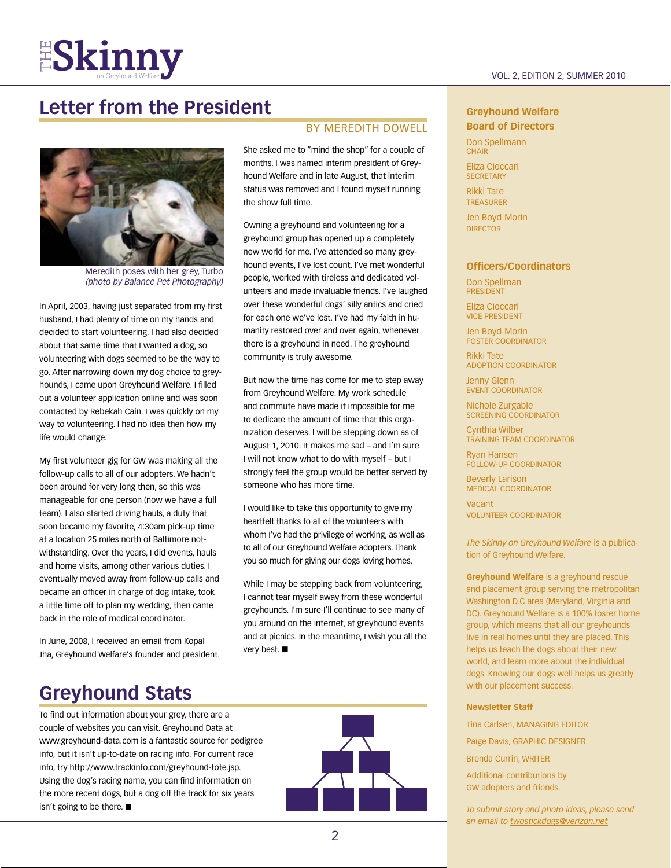## **Letter from the President**



Meredith poses with her grey, Turbo *(photo by Balance Pet Photography)* 

In April, 2003, having just separated from my first husband, I had plenty of time on my hands and decided to start volunteering. I had also decided about that same time that I wanted a dog, so volunteering with dogs seemed to be the way to go. After narrowing down my dog choice to greyhounds, I came upon Greyhound Welfare. I filled out a volunteer application online and was soon contacted by Rebekah Cain. I was quickly on my way to volunteering. I had no idea then how my life would change.

My first volunteer gig for GW was making all the follow-up calls to all of our adopters. We hadn't been around for very long then, so this was manageable for one person (now we have a full team). I also started driving hauls, a duty that soon became my favorite, 4:30am pick-up time at a location 25 miles north of Baltimore notwithstanding. Over the years, I did events, hauls and home visits, among other various duties. I eventually moved away from follow-up calls and became an officer in charge of dog intake, took a little time off to plan my wedding, then came back in the role of medical coordinator.

In June, 2008, I received an email from Kopal Jha, Greyhound Welfare's founder and president.

#### BY MEREDITH DOWELL

She asked me to "mind the shop" for a couple of months. I was named interim president of Greyhound Welfare and in late August, that interim status was removed and I found myself running the show full time.

Owning a greyhound and volunteering for a greyhound group has opened up a completely new world for me. I've attended so many greyhound events, I've lost count. I've met wonderful people, worked with tireless and dedicated volunteers and made invaluable friends. I've laughed over these wonderful dogs' silly antics and cried for each one we've lost. I've had my faith in humanity restored over and over again, whenever there is a greyhound in need. The greyhound community is truly awesome.

But now the time has come for me to step away from Greyhound Welfare. My work schedule and commute have made it impossible for me to dedicate the amount of time that this organization deserves. I will be stepping down as of August 1, 2010. It makes me sad – and I'm sure I will not know what to do with myself – but I strongly feel the group would be better served by someone who has more time.

I would like to take this opportunity to give my heartfelt thanks to all of the volunteers with whom I've had the privilege of working, as well as to all of our Greyhound Welfare adopters. Thank you so much for giving our dogs loving homes.

While I may be stepping back from volunteering, I cannot tear myself away from these wonderful greyhounds. I'm sure I'll continue to see many of you around on the internet, at greyhound events and at picnics. In the meantime, I wish you all the very best.  $\blacksquare$ 

## **Greyhound Stats**

To find out information about your grey, there are a couple of websites you can visit. Greyhound Data at www.greyhound-data.com is a fantastic source for pedigree info, but it isn't up-to-date on racing info. For current race info, try http://www.trackinfo.com/greyhound-tote.jsp. Using the dog's racing name, you can find information on the more recent dogs, but a dog off the track for six years isn't going to be there.  $\blacksquare$ 



#### **Greyhound Welfare Board of Directors**

Don Spellmann **CHAIR** 

Eliza Cioccari **SECRETARY** 

Rikki Tate **TREASURER** 

Jen Boyd-Morin **DIRECTOR** 

#### **Officers/Coordinators**

Don Spellman president

Eliza Cioccari vice president

Jen Boyd-Morin Foster Coordinator

Rikki Tate Adoption Coordinator

Jenny Glenn EVENT COORDINATOR

Nichole Zurgable Screening Coordinator

Cynthia Wilber Training Team Coordinator

Ryan Hansen Follow-up Coordinator

Beverly Larison Medical Coordinator

Vacant Volunteer Coordinator

*The Skinny on Greyhound Welfare* is a publication of Greyhound Welfare.

**Greyhound Welfare** is a greyhound rescue and placement group serving the metropolitan Washington D.C area (Maryland, Virginia and DC). Greyhound Welfare is a 100% foster home group, which means that all our greyhounds live in real homes until they are placed. This helps us teach the dogs about their new world, and learn more about the individual dogs. Knowing our dogs well helps us greatly with our placement success.

#### **Newsletter Staff**

Tina Carlsen, managing editor Paige Davis, GRAPHIC DESIGNER Brenda Currin, WRITER Additional contributions by GW adopters and friends.

*To submit story and photo ideas, please send an email to twostickdogs@verizon.net*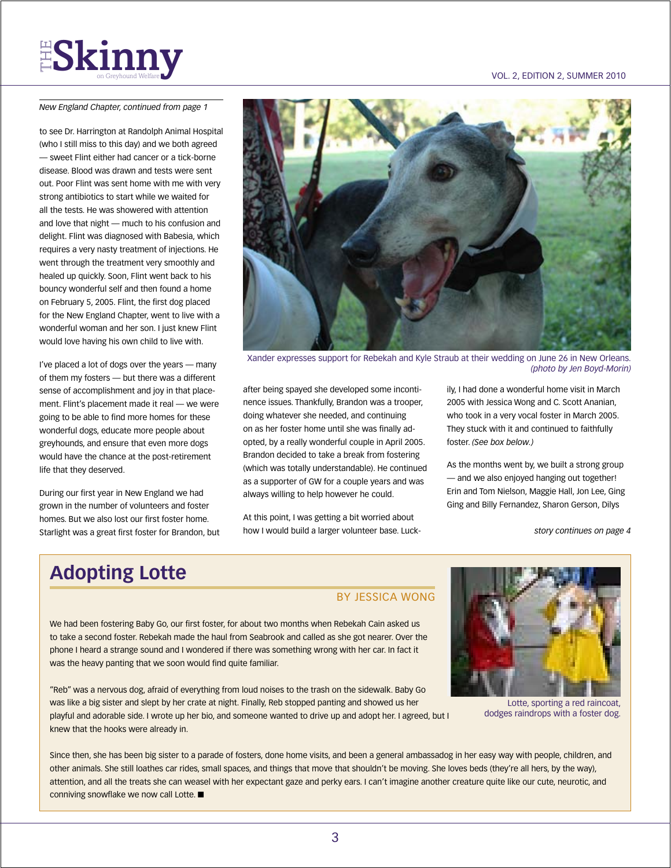## $\textbf{FS}$   $\textbf{R}$  in  $\textbf{m}$   $\textbf{y}$  and  $\textbf{y}$  are velound Welfare  $\textbf{y}$

*New England Chapter, continued from page 1*

to see Dr. Harrington at Randolph Animal Hospital (who I still miss to this day) and we both agreed — sweet Flint either had cancer or a tick-borne disease. Blood was drawn and tests were sent out. Poor Flint was sent home with me with very strong antibiotics to start while we waited for all the tests. He was showered with attention and love that night — much to his confusion and delight. Flint was diagnosed with Babesia, which requires a very nasty treatment of injections. He went through the treatment very smoothly and healed up quickly. Soon, Flint went back to his bouncy wonderful self and then found a home on February 5, 2005. Flint, the first dog placed for the New England Chapter, went to live with a wonderful woman and her son. I just knew Flint would love having his own child to live with.

I've placed a lot of dogs over the years — many of them my fosters — but there was a different sense of accomplishment and joy in that placement. Flint's placement made it real — we were going to be able to find more homes for these wonderful dogs, educate more people about greyhounds, and ensure that even more dogs would have the chance at the post-retirement life that they deserved.

During our first year in New England we had grown in the number of volunteers and foster homes. But we also lost our first foster home. Starlight was a great first foster for Brandon, but



Xander expresses support for Rebekah and Kyle Straub at their wedding on June 26 in New Orleans. *(photo by Jen Boyd-Morin)*

after being spayed she developed some incontinence issues. Thankfully, Brandon was a trooper, doing whatever she needed, and continuing on as her foster home until she was finally adopted, by a really wonderful couple in April 2005. Brandon decided to take a break from fostering (which was totally understandable). He continued as a supporter of GW for a couple years and was always willing to help however he could.

At this point, I was getting a bit worried about how I would build a larger volunteer base. Luckily, I had done a wonderful home visit in March 2005 with Jessica Wong and C. Scott Ananian, who took in a very vocal foster in March 2005. They stuck with it and continued to faithfully foster. *(See box below.)*

As the months went by, we built a strong group — and we also enjoyed hanging out together! Erin and Tom Nielson, Maggie Hall, Jon Lee, Ging Ging and Billy Fernandez, Sharon Gerson, Dilys

*story continues on page 4*

## **Adopting Lotte**

#### by jessica wong

We had been fostering Baby Go, our first foster, for about two months when Rebekah Cain asked us to take a second foster. Rebekah made the haul from Seabrook and called as she got nearer. Over the phone I heard a strange sound and I wondered if there was something wrong with her car. In fact it was the heavy panting that we soon would find quite familiar.

"Reb" was a nervous dog, afraid of everything from loud noises to the trash on the sidewalk. Baby Go was like a big sister and slept by her crate at night. Finally, Reb stopped panting and showed us her playful and adorable side. I wrote up her bio, and someone wanted to drive up and adopt her. I agreed, but I knew that the hooks were already in.



Lotte, sporting a red raincoat, dodges raindrops with a foster dog.

Since then, she has been big sister to a parade of fosters, done home visits, and been a general ambassadog in her easy way with people, children, and other animals. She still loathes car rides, small spaces, and things that move that shouldn't be moving. She loves beds (they're all hers, by the way), attention, and all the treats she can weasel with her expectant gaze and perky ears. I can't imagine another creature quite like our cute, neurotic, and conniving snowflake we now call Lotte.  $\blacksquare$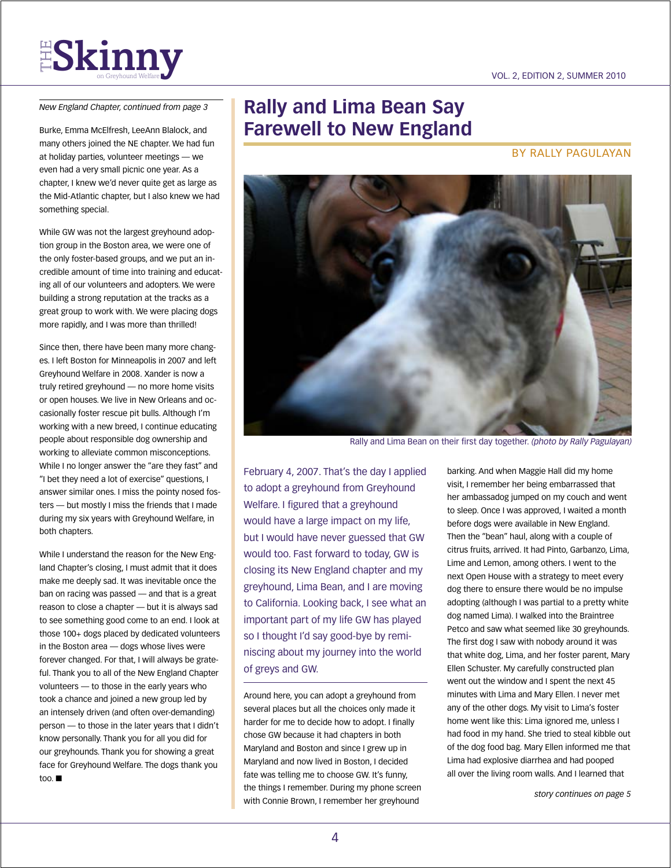

*New England Chapter, continued from page 3*

Burke, Emma McElfresh, LeeAnn Blalock, and many others joined the NE chapter. We had fun at holiday parties, volunteer meetings — we even had a very small picnic one year. As a chapter, I knew we'd never quite get as large as the Mid-Atlantic chapter, but I also knew we had something special.

While GW was not the largest greyhound adoption group in the Boston area, we were one of the only foster-based groups, and we put an incredible amount of time into training and educating all of our volunteers and adopters. We were building a strong reputation at the tracks as a great group to work with. We were placing dogs more rapidly, and I was more than thrilled!

Since then, there have been many more changes. I left Boston for Minneapolis in 2007 and left Greyhound Welfare in 2008. Xander is now a truly retired greyhound — no more home visits or open houses. We live in New Orleans and occasionally foster rescue pit bulls. Although I'm working with a new breed, I continue educating people about responsible dog ownership and working to alleviate common misconceptions. While I no longer answer the "are they fast" and "I bet they need a lot of exercise" questions, I answer similar ones. I miss the pointy nosed fosters — but mostly I miss the friends that I made during my six years with Greyhound Welfare, in both chapters.

While I understand the reason for the New England Chapter's closing, I must admit that it does make me deeply sad. It was inevitable once the ban on racing was passed — and that is a great reason to close a chapter — but it is always sad to see something good come to an end. I look at those 100+ dogs placed by dedicated volunteers in the Boston area — dogs whose lives were forever changed. For that, I will always be grateful. Thank you to all of the New England Chapter volunteers — to those in the early years who took a chance and joined a new group led by an intensely driven (and often over-demanding) person — to those in the later years that I didn't know personally. Thank you for all you did for our greyhounds. Thank you for showing a great face for Greyhound Welfare. The dogs thank you too.  $\blacksquare$ 

## **Rally and Lima Bean Say Farewell to New England**

by rally Pagulayan



Rally and Lima Bean on their first day together. *(photo by Rally Pagulayan)*

February 4, 2007. That's the day I applied to adopt a greyhound from Greyhound Welfare. I figured that a greyhound would have a large impact on my life, but I would have never guessed that GW would too. Fast forward to today, GW is closing its New England chapter and my greyhound, Lima Bean, and I are moving to California. Looking back, I see what an important part of my life GW has played so I thought I'd say good-bye by reminiscing about my journey into the world of greys and GW.

Around here, you can adopt a greyhound from several places but all the choices only made it harder for me to decide how to adopt. I finally chose GW because it had chapters in both Maryland and Boston and since I grew up in Maryland and now lived in Boston, I decided fate was telling me to choose GW. It's funny, the things I remember. During my phone screen with Connie Brown, I remember her greyhound

barking. And when Maggie Hall did my home visit, I remember her being embarrassed that her ambassadog jumped on my couch and went to sleep. Once I was approved, I waited a month before dogs were available in New England. Then the "bean" haul, along with a couple of citrus fruits, arrived. It had Pinto, Garbanzo, Lima, Lime and Lemon, among others. I went to the next Open House with a strategy to meet every dog there to ensure there would be no impulse adopting (although I was partial to a pretty white dog named Lima). I walked into the Braintree Petco and saw what seemed like 30 greyhounds. The first dog I saw with nobody around it was that white dog, Lima, and her foster parent, Mary Ellen Schuster. My carefully constructed plan went out the window and I spent the next 45 minutes with Lima and Mary Ellen. I never met any of the other dogs. My visit to Lima's foster home went like this: Lima ignored me, unless I had food in my hand. She tried to steal kibble out of the dog food bag. Mary Ellen informed me that Lima had explosive diarrhea and had pooped all over the living room walls. And I learned that

*story continues on page 5*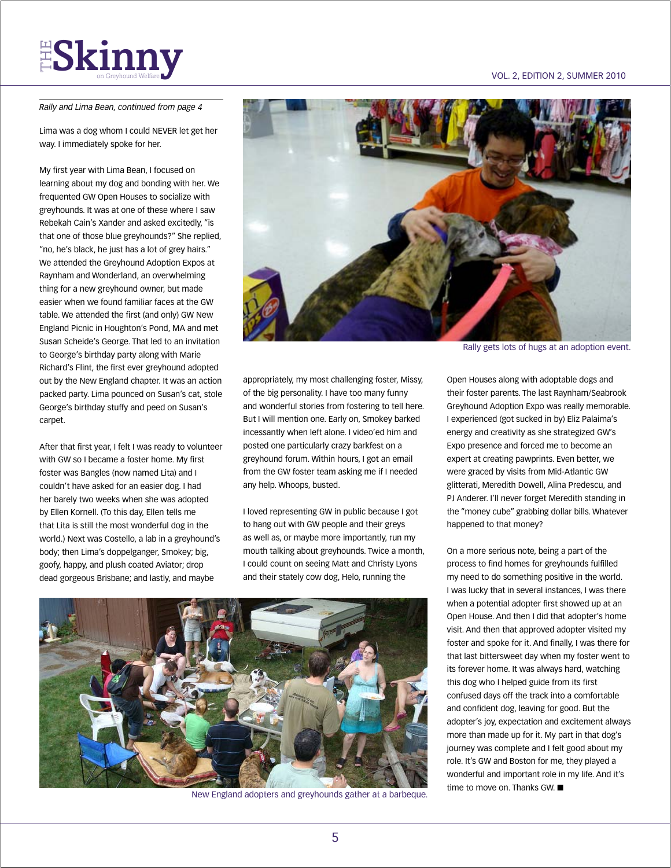#### *Rally and Lima Bean, continued from page 4*

Lima was a dog whom I could NEVER let get her way. I immediately spoke for her.

My first year with Lima Bean, I focused on learning about my dog and bonding with her. We frequented GW Open Houses to socialize with greyhounds. It was at one of these where I saw Rebekah Cain's Xander and asked excitedly, "is that one of those blue greyhounds?" She replied, "no, he's black, he just has a lot of grey hairs." We attended the Greyhound Adoption Expos at Raynham and Wonderland, an overwhelming thing for a new greyhound owner, but made easier when we found familiar faces at the GW table. We attended the first (and only) GW New England Picnic in Houghton's Pond, MA and met Susan Scheide's George. That led to an invitation to George's birthday party along with Marie Richard's Flint, the first ever greyhound adopted out by the New England chapter. It was an action packed party. Lima pounced on Susan's cat, stole George's birthday stuffy and peed on Susan's carpet.

After that first year, I felt I was ready to volunteer with GW so I became a foster home. My first foster was Bangles (now named Lita) and I couldn't have asked for an easier dog. I had her barely two weeks when she was adopted by Ellen Kornell. (To this day, Ellen tells me that Lita is still the most wonderful dog in the world.) Next was Costello, a lab in a greyhound's body; then Lima's doppelganger, Smokey; big, goofy, happy, and plush coated Aviator; drop dead gorgeous Brisbane; and lastly, and maybe



Rally gets lots of hugs at an adoption event.

appropriately, my most challenging foster, Missy, of the big personality. I have too many funny and wonderful stories from fostering to tell here. But I will mention one. Early on, Smokey barked incessantly when left alone. I video'ed him and posted one particularly crazy barkfest on a greyhound forum. Within hours, I got an email from the GW foster team asking me if I needed any help. Whoops, busted.

I loved representing GW in public because I got to hang out with GW people and their greys as well as, or maybe more importantly, run my mouth talking about greyhounds. Twice a month, I could count on seeing Matt and Christy Lyons and their stately cow dog, Helo, running the



New England adopters and greyhounds gather at a barbeque.

Open Houses along with adoptable dogs and their foster parents. The last Raynham/Seabrook Greyhound Adoption Expo was really memorable. I experienced (got sucked in by) Eliz Palaima's energy and creativity as she strategized GW's Expo presence and forced me to become an expert at creating pawprints. Even better, we were graced by visits from Mid-Atlantic GW glitterati, Meredith Dowell, Alina Predescu, and PJ Anderer. I'll never forget Meredith standing in the "money cube" grabbing dollar bills. Whatever happened to that money?

On a more serious note, being a part of the process to find homes for greyhounds fulfilled my need to do something positive in the world. I was lucky that in several instances, I was there when a potential adopter first showed up at an Open House. And then I did that adopter's home visit. And then that approved adopter visited my foster and spoke for it. And finally, I was there for that last bittersweet day when my foster went to its forever home. It was always hard, watching this dog who I helped guide from its first confused days off the track into a comfortable and confident dog, leaving for good. But the adopter's joy, expectation and excitement always more than made up for it. My part in that dog's journey was complete and I felt good about my role. It's GW and Boston for me, they played a wonderful and important role in my life. And it's time to move on. Thanks GW.  $\blacksquare$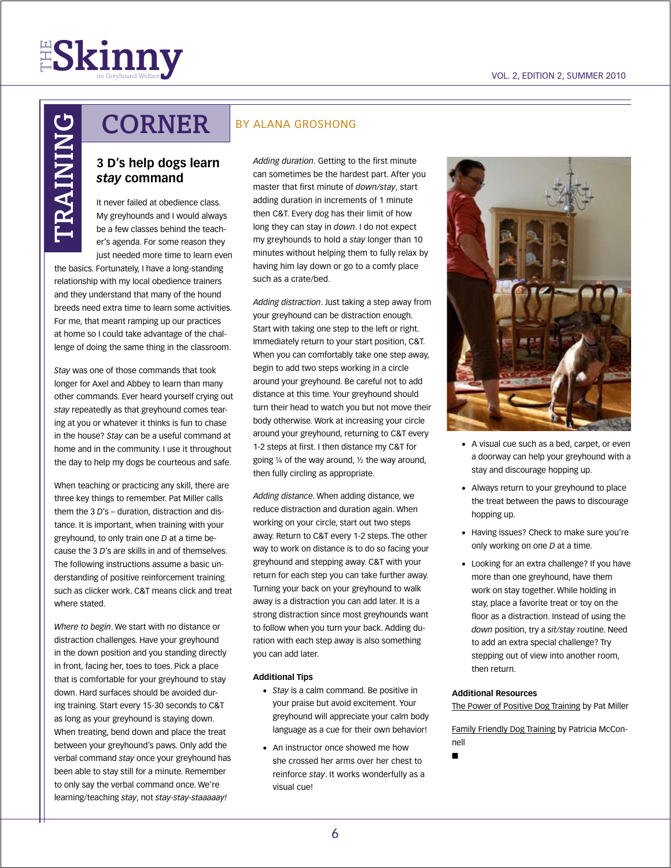

# TRAINING TRAININ

## **CORNER**

#### **3 D's help dogs learn**  *stay* **command**

It never failed at obedience class. My greyhounds and I would always be a few classes behind the teacher's agenda. For some reason they just needed more time to learn even

the basics. Fortunately, I have a long-standing relationship with my local obedience trainers and they understand that many of the hound breeds need extra time to learn some activities. For me, that meant ramping up our practices at home so I could take advantage of the challenge of doing the same thing in the classroom.

*Stay* was one of those commands that took longer for Axel and Abbey to learn than many other commands. Ever heard yourself crying out *stay* repeatedly as that greyhound comes tearing at you or whatever it thinks is fun to chase in the house? *Stay* can be a useful command at home and in the community. I use it throughout the day to help my dogs be courteous and safe.

When teaching or practicing any skill, there are three key things to remember. Pat Miller calls them the 3 *D*'s – duration, distraction and distance. It is important, when training with your greyhound, to only train one *D* at a time because the 3 *D*'s are skills in and of themselves. The following instructions assume a basic understanding of positive reinforcement training such as clicker work. C&T means click and treat where stated.

*Where to begin*. We start with no distance or distraction challenges. Have your greyhound in the down position and you standing directly in front, facing her, toes to toes. Pick a place that is comfortable for your greyhound to stay down. Hard surfaces should be avoided during training. Start every 15-30 seconds to C&T as long as your greyhound is staying down. When treating, bend down and place the treat between your greyhound's paws. Only add the verbal command *stay* once your greyhound has been able to stay still for a minute. Remember to only say the verbal command once. We're learning/teaching *stay*, not *stay-stay-staaaaay!*

#### by alana groshong

*Adding duration*. Getting to the first minute can sometimes be the hardest part. After you master that first minute of *down/stay*, start adding duration in increments of 1 minute then C&T. Every dog has their limit of how long they can stay in *down*. I do not expect my greyhounds to hold a *stay* longer than 10 minutes without helping them to fully relax by having him lay down or go to a comfy place such as a crate/bed.

*Adding distraction*. Just taking a step away from your greyhound can be distraction enough. Start with taking one step to the left or right. Immediately return to your start position, C&T. When you can comfortably take one step away, begin to add two steps working in a circle around your greyhound. Be careful not to add distance at this time. Your greyhound should turn their head to watch you but not move their body otherwise. Work at increasing your circle around your greyhound, returning to C&T every 1-2 steps at first. I then distance my C&T for going  $\frac{1}{4}$  of the way around,  $\frac{1}{2}$  the way around, then fully circling as appropriate.

*Adding distance*. When adding distance, we reduce distraction and duration again. When working on your circle, start out two steps away. Return to C&T every 1-2 steps. The other way to work on distance is to do so facing your greyhound and stepping away. C&T with your return for each step you can take further away. Turning your back on your greyhound to walk away is a distraction you can add later. It is a strong distraction since most greyhounds want to follow when you turn your back. Adding duration with each step away is also something you can add later.

#### **Additional Tips**

- *Stav* is a calm command. Be positive in your praise but avoid excitement. Your greyhound will appreciate your calm body language as a cue for their own behavior!
- An instructor once showed me how she crossed her arms over her chest to reinforce *stay*. It works wonderfully as a visual cue!



- A visual cue such as a bed, carpet, or even a doorway can help your greyhound with a stay and discourage hopping up.
- • Always return to your greyhound to place the treat between the paws to discourage hopping up.
- Having issues? Check to make sure you're only working on one *D* at a time.
- Looking for an extra challenge? If you have more than one greyhound, have them work on stay together. While holding in stay, place a favorite treat or toy on the floor as a distraction. Instead of using the *down* position, try a *sit/stay* routine. Need to add an extra special challenge? Try stepping out of view into another room, then return.

#### **Additional Resources**

The Power of Positive Dog Training by Pat Miller

Family Friendly Dog Training by Patricia McConnell

n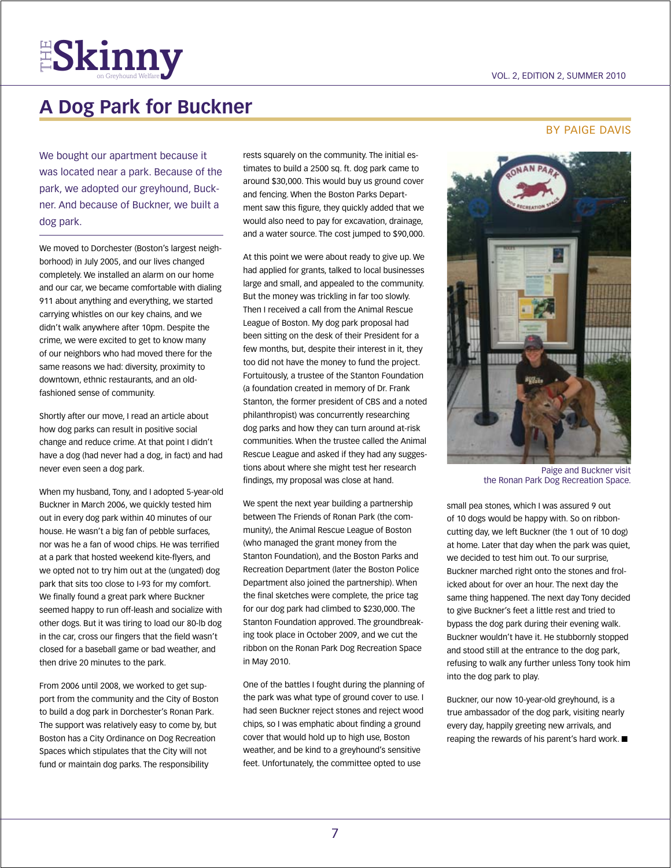

## **A Dog Park for Buckner**

We bought our apartment because it was located near a park. Because of the park, we adopted our greyhound, Buckner. And because of Buckner, we built a dog park.

We moved to Dorchester (Boston's largest neighborhood) in July 2005, and our lives changed completely. We installed an alarm on our home and our car, we became comfortable with dialing 911 about anything and everything, we started carrying whistles on our key chains, and we didn't walk anywhere after 10pm. Despite the crime, we were excited to get to know many of our neighbors who had moved there for the same reasons we had: diversity, proximity to downtown, ethnic restaurants, and an oldfashioned sense of community.

Shortly after our move, I read an article about how dog parks can result in positive social change and reduce crime. At that point I didn't have a dog (had never had a dog, in fact) and had never even seen a dog park.

When my husband, Tony, and I adopted 5-year-old Buckner in March 2006, we quickly tested him out in every dog park within 40 minutes of our house. He wasn't a big fan of pebble surfaces, nor was he a fan of wood chips. He was terrified at a park that hosted weekend kite-flyers, and we opted not to try him out at the (ungated) dog park that sits too close to I-93 for my comfort. We finally found a great park where Buckner seemed happy to run off-leash and socialize with other dogs. But it was tiring to load our 80-lb dog in the car, cross our fingers that the field wasn't closed for a baseball game or bad weather, and then drive 20 minutes to the park.

From 2006 until 2008, we worked to get support from the community and the City of Boston to build a dog park in Dorchester's Ronan Park. The support was relatively easy to come by, but Boston has a City Ordinance on Dog Recreation Spaces which stipulates that the City will not fund or maintain dog parks. The responsibility

rests squarely on the community. The initial estimates to build a 2500 sq. ft. dog park came to around \$30,000. This would buy us ground cover and fencing. When the Boston Parks Department saw this figure, they quickly added that we would also need to pay for excavation, drainage, and a water source. The cost jumped to \$90,000.

At this point we were about ready to give up. We had applied for grants, talked to local businesses large and small, and appealed to the community. But the money was trickling in far too slowly. Then I received a call from the Animal Rescue League of Boston. My dog park proposal had been sitting on the desk of their President for a few months, but, despite their interest in it, they too did not have the money to fund the project. Fortuitously, a trustee of the Stanton Foundation (a foundation created in memory of Dr. Frank Stanton, the former president of CBS and a noted philanthropist) was concurrently researching dog parks and how they can turn around at-risk communities. When the trustee called the Animal Rescue League and asked if they had any suggestions about where she might test her research findings, my proposal was close at hand.

We spent the next year building a partnership between The Friends of Ronan Park (the community), the Animal Rescue League of Boston (who managed the grant money from the Stanton Foundation), and the Boston Parks and Recreation Department (later the Boston Police Department also joined the partnership). When the final sketches were complete, the price tag for our dog park had climbed to \$230,000. The Stanton Foundation approved. The groundbreaking took place in October 2009, and we cut the ribbon on the Ronan Park Dog Recreation Space in May 2010.

One of the battles I fought during the planning of the park was what type of ground cover to use. I had seen Buckner reject stones and reject wood chips, so I was emphatic about finding a ground cover that would hold up to high use, Boston weather, and be kind to a greyhound's sensitive feet. Unfortunately, the committee opted to use

#### BY PAIGE DAVIS



Paige and Buckner visit the Ronan Park Dog Recreation Space.

small pea stones, which I was assured 9 out of 10 dogs would be happy with. So on ribboncutting day, we left Buckner (the 1 out of 10 dog) at home. Later that day when the park was quiet, we decided to test him out. To our surprise, Buckner marched right onto the stones and frolicked about for over an hour. The next day the same thing happened. The next day Tony decided to give Buckner's feet a little rest and tried to bypass the dog park during their evening walk. Buckner wouldn't have it. He stubbornly stopped and stood still at the entrance to the dog park, refusing to walk any further unless Tony took him into the dog park to play.

Buckner, our now 10-year-old greyhound, is a true ambassador of the dog park, visiting nearly every day, happily greeting new arrivals, and reaping the rewards of his parent's hard work.  $\blacksquare$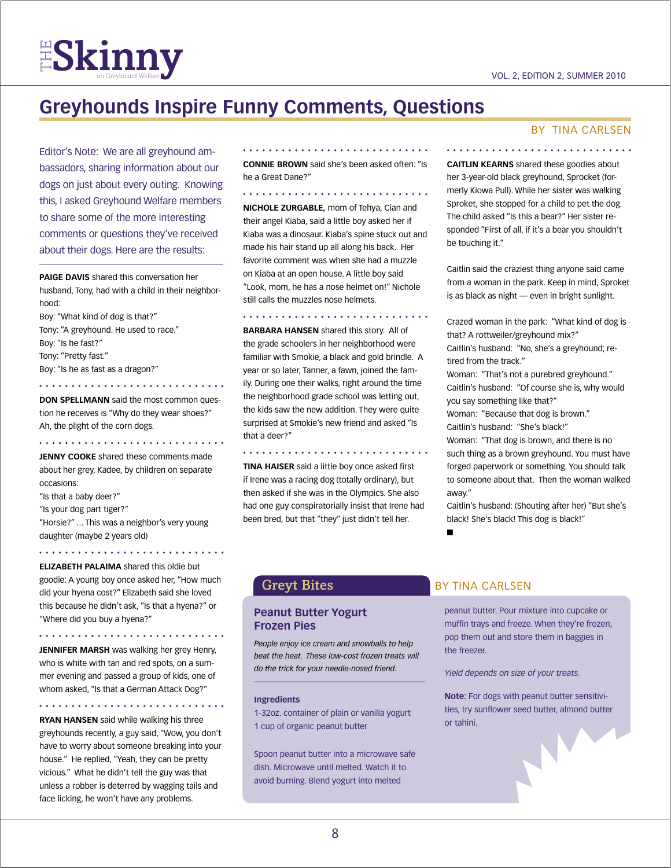

## **Greyhounds Inspire Funny Comments, Questions**

Editor's Note: We are all greyhound ambassadors, sharing information about our dogs on just about every outing. Knowing this, I asked Greyhound Welfare members to share some of the more interesting comments or questions they've received about their dogs. Here are the results:

**Paige Davis** shared this conversation her husband, Tony, had with a child in their neighborhood:

Boy: "What kind of dog is that?" Tony: "A greyhound. He used to race." Boy: "Is he fast?" Tony: "Pretty fast." Boy: "Is he as fast as a dragon?"

**DON SPELLMANN** said the most common question he receives is "Why do they wear shoes?" Ah, the plight of the corn dogs.

**Jenny Cooke** shared these comments made about her grey, Kadee, by children on separate occasions:

"Is that a baby deer?"

"Is your dog part tiger?"

"Horsie?" ... This was a neighbor's very young daughter (maybe 2 years old)

**Elizabeth Palaima** shared this oldie but goodie: A young boy once asked her, "How much did your hyena cost?" Elizabeth said she loved this because he didn't ask, "Is that a hyena?" or "Where did you buy a hyena?"

**Jennifer Marsh** was walking her grey Henry, who is white with tan and red spots, on a summer evening and passed a group of kids, one of whom asked, "Is that a German Attack Dog?"

**Ryan Hansen** said while walking his three greyhounds recently, a guy said, "Wow, you don't have to worry about someone breaking into your house." He replied, "Yeah, they can be pretty vicious." What he didn't tell the guy was that unless a robber is deterred by wagging tails and face licking, he won't have any problems.

**Connie Brown** said she's been asked often: "Is he a Great Dane?"

**Nichole Zurgable,** mom of Tehya, Cian and their angel Kiaba, said a little boy asked her if Kiaba was a dinosaur. Kiaba's spine stuck out and made his hair stand up all along his back. Her favorite comment was when she had a muzzle on Kiaba at an open house. A little boy said "Look, mom, he has a nose helmet on!" Nichole still calls the muzzles nose helmets.

**Barbara Hansen** shared this story. All of the grade schoolers in her neighborhood were familiar with Smokie, a black and gold brindle. A year or so later, Tanner, a fawn, joined the family. During one their walks, right around the time the neighborhood grade school was letting out, the kids saw the new addition. They were quite surprised at Smokie's new friend and asked "Is that a deer?"

**Tina Haiser** said a little boy once asked first if Irene was a racing dog (totally ordinary), but then asked if she was in the Olympics. She also had one guy conspiratorially insist that Irene had been bred, but that "they" just didn't tell her.

#### By Tina Carlsen

**Caitlin Kearns** shared these goodies about her 3-year-old black greyhound, Sprocket (formerly Kiowa Pull). While her sister was walking Sproket, she stopped for a child to pet the dog. The child asked "Is this a bear?" Her sister responded "First of all, if it's a bear you shouldn't be touching it."

Caitlin said the craziest thing anyone said came from a woman in the park. Keep in mind, Sproket is as black as night — even in bright sunlight.

Crazed woman in the park: "What kind of dog is that? A rottweiler/greyhound mix?" Caitlin's husband: "No, she's a greyhound; retired from the track." Woman: "That's not a purebred greyhound." Caitlin's husband: "Of course she is, why would you say something like that?" Woman: "Because that dog is brown." Caitlin's husband: "She's black!" Woman: "That dog is brown, and there is no such thing as a brown greyhound. You must have forged paperwork or something. You should talk

to someone about that. Then the woman walked away." Caitlin's husband: (Shouting after her) "But she's

black! She's black! This dog is black!" n

#### **Peanut Butter Yogurt Frozen Pies**

*People enjoy ice cream and snowballs to help beat the heat. These low-cost frozen treats will do the trick for your needle-nosed friend.*

#### **Ingredients**

1-32oz. container of plain or vanilla yogurt 1 cup of organic peanut butter

Spoon peanut butter into a microwave safe dish. Microwave until melted. Watch it to avoid burning. Blend yogurt into melted

#### Greyt Bites **by TINA CARLSEN**

peanut butter. Pour mixture into cupcake or muffin trays and freeze. When they're frozen, pop them out and store them in baggies in the freezer.

*Yield depends on size of your treats.*

**Note:** For dogs with peanut butter sensitivities, try sunflower seed butter, almond butter or tahini.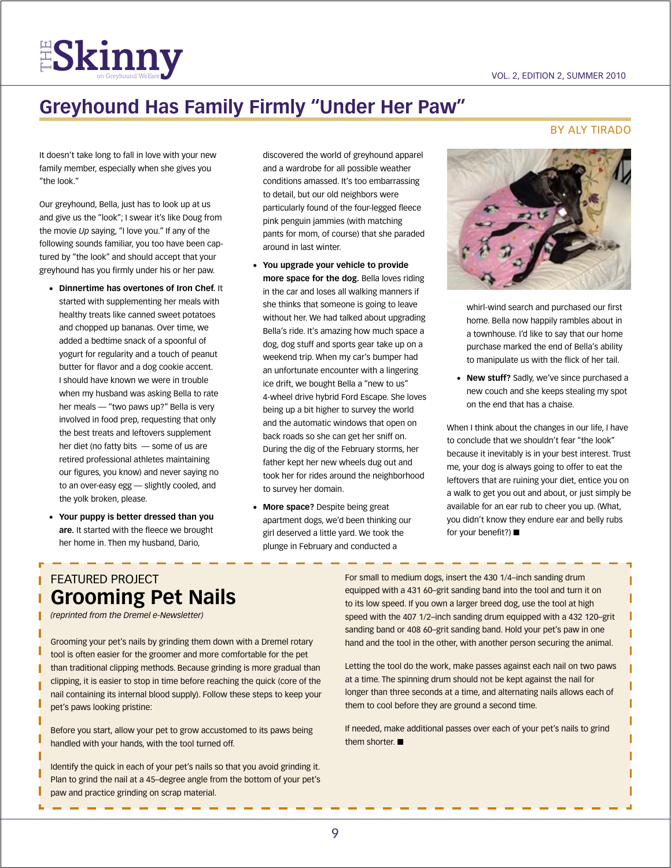

## **Greyhound Has Family Firmly "Under Her Paw"**

It doesn't take long to fall in love with your new family member, especially when she gives you "the look."

Our greyhound, Bella, just has to look up at us and give us the "look"; I swear it's like Doug from the movie *Up* saying, "I love you." If any of the following sounds familiar, you too have been captured by "the look" and should accept that your greyhound has you firmly under his or her paw.

- • **Dinnertime has overtones of Iron Chef.** It started with supplementing her meals with healthy treats like canned sweet potatoes and chopped up bananas. Over time, we added a bedtime snack of a spoonful of yogurt for regularity and a touch of peanut butter for flavor and a dog cookie accent. I should have known we were in trouble when my husband was asking Bella to rate her meals — "two paws up?" Bella is very involved in food prep, requesting that only the best treats and leftovers supplement her diet (no fatty bits — some of us are retired professional athletes maintaining our figures, you know) and never saying no to an over-easy egg — slightly cooled, and the yolk broken, please.
- • **Your puppy is better dressed than you are.** It started with the fleece we brought her home in. Then my husband, Dario,

discovered the world of greyhound apparel and a wardrobe for all possible weather conditions amassed. It's too embarrassing to detail, but our old neighbors were particularly found of the four-legged fleece pink penguin jammies (with matching pants for mom, of course) that she paraded around in last winter.

- • **You upgrade your vehicle to provide more space for the dog.** Bella loves riding in the car and loses all walking manners if she thinks that someone is going to leave without her. We had talked about upgrading Bella's ride. It's amazing how much space a dog, dog stuff and sports gear take up on a weekend trip. When my car's bumper had an unfortunate encounter with a lingering ice drift, we bought Bella a "new to us" 4-wheel drive hybrid Ford Escape. She loves being up a bit higher to survey the world and the automatic windows that open on back roads so she can get her sniff on. During the dig of the February storms, her father kept her new wheels dug out and took her for rides around the neighborhood to survey her domain.
- **More space?** Despite being great apartment dogs, we'd been thinking our girl deserved a little yard. We took the plunge in February and conducted a

#### **BY ALY TIRADO**



whirl-wind search and purchased our first home. Bella now happily rambles about in a townhouse. I'd like to say that our home purchase marked the end of Bella's ability to manipulate us with the flick of her tail.

• **New stuff?** Sadly, we've since purchased a new couch and she keeps stealing my spot on the end that has a chaise.

When I think about the changes in our life, I have to conclude that we shouldn't fear "the look" because it inevitably is in your best interest. Trust me, your dog is always going to offer to eat the leftovers that are ruining your diet, entice you on a walk to get you out and about, or just simply be available for an ear rub to cheer you up. (What, you didn't know they endure ear and belly rubs for your benefit?)  $\blacksquare$ 

### Featured Project **Grooming Pet Nails**

*(reprinted from the Dremel e-Newsletter)*

Grooming your pet's nails by grinding them down with a Dremel rotary tool is often easier for the groomer and more comfortable for the pet than traditional clipping methods. Because grinding is more gradual than clipping, it is easier to stop in time before reaching the quick (core of the nail containing its internal blood supply). Follow these steps to keep your pet's paws looking pristine:

Before you start, allow your pet to grow accustomed to its paws being handled with your hands, with the tool turned off.

Identify the quick in each of your pet's nails so that you avoid grinding it. Plan to grind the nail at a 45–degree angle from the bottom of your pet's paw and practice grinding on scrap material.

For small to medium dogs, insert the 430 1/4–inch sanding drum equipped with a 431 60–grit sanding band into the tool and turn it on to its low speed. If you own a larger breed dog, use the tool at high speed with the 407 1/2–inch sanding drum equipped with a 432 120–grit sanding band or 408 60–grit sanding band. Hold your pet's paw in one hand and the tool in the other, with another person securing the animal.

Letting the tool do the work, make passes against each nail on two paws at a time. The spinning drum should not be kept against the nail for longer than three seconds at a time, and alternating nails allows each of them to cool before they are ground a second time.

If needed, make additional passes over each of your pet's nails to grind them shorter.  $\blacksquare$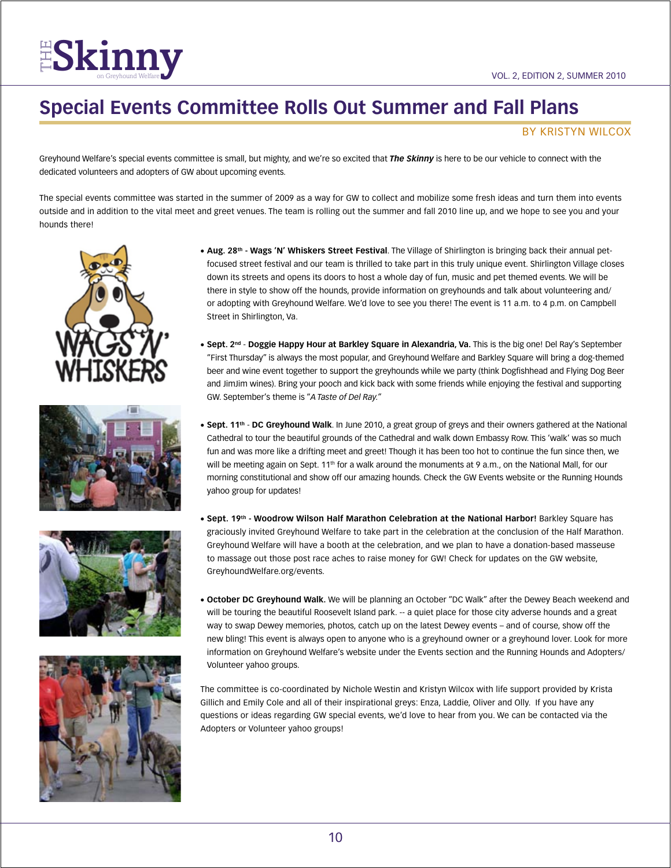## **Special Events Committee Rolls Out Summer and Fall Plans**

#### by kristyn wilcox

Greyhound Welfare's special events committee is small, but mighty, and we're so excited that *The Skinny* is here to be our vehicle to connect with the dedicated volunteers and adopters of GW about upcoming events.

The special events committee was started in the summer of 2009 as a way for GW to collect and mobilize some fresh ideas and turn them into events outside and in addition to the vital meet and greet venues. The team is rolling out the summer and fall 2010 line up, and we hope to see you and your hounds there!









- • **Aug. 28th Wags 'N' Whiskers Street Festival**. The Village of Shirlington is bringing back their annual petfocused street festival and our team is thrilled to take part in this truly unique event. Shirlington Village closes down its streets and opens its doors to host a whole day of fun, music and pet themed events. We will be there in style to show off the hounds, provide information on greyhounds and talk about volunteering and/ or adopting with Greyhound Welfare. We'd love to see you there! The event is 11 a.m. to 4 p.m. on Campbell Street in Shirlington, Va.
- • **Sept. 2nd Doggie Happy Hour at Barkley Square in Alexandria, Va.** This is the big one! Del Ray's September "First Thursday" is always the most popular, and Greyhound Welfare and Barkley Square will bring a dog-themed beer and wine event together to support the greyhounds while we party (think Dogfishhead and Flying Dog Beer and JimJim wines). Bring your pooch and kick back with some friends while enjoying the festival and supporting GW. September's theme is "*A Taste of Del Ray."*
- • **Sept. 11th DC Greyhound Walk**. In June 2010, a great group of greys and their owners gathered at the National Cathedral to tour the beautiful grounds of the Cathedral and walk down Embassy Row. This 'walk' was so much fun and was more like a drifting meet and greet! Though it has been too hot to continue the fun since then, we will be meeting again on Sept. 11<sup>th</sup> for a walk around the monuments at 9 a.m., on the National Mall, for our morning constitutional and show off our amazing hounds. Check the GW Events website or the Running Hounds yahoo group for updates!
- • **Sept. 19th Woodrow Wilson Half Marathon Celebration at the National Harbor!** Barkley Square has graciously invited Greyhound Welfare to take part in the celebration at the conclusion of the Half Marathon. Greyhound Welfare will have a booth at the celebration, and we plan to have a donation-based masseuse to massage out those post race aches to raise money for GW! Check for updates on the GW website, GreyhoundWelfare.org/events.
- • **October DC Greyhound Walk.** We will be planning an October "DC Walk" after the Dewey Beach weekend and will be touring the beautiful Roosevelt Island park. -- a quiet place for those city adverse hounds and a great way to swap Dewey memories, photos, catch up on the latest Dewey events – and of course, show off the new bling! This event is always open to anyone who is a greyhound owner or a greyhound lover. Look for more information on Greyhound Welfare's website under the Events section and the Running Hounds and Adopters/ Volunteer yahoo groups.

The committee is co-coordinated by Nichole Westin and Kristyn Wilcox with life support provided by Krista Gillich and Emily Cole and all of their inspirational greys: Enza, Laddie, Oliver and Olly. If you have any questions or ideas regarding GW special events, we'd love to hear from you. We can be contacted via the Adopters or Volunteer yahoo groups!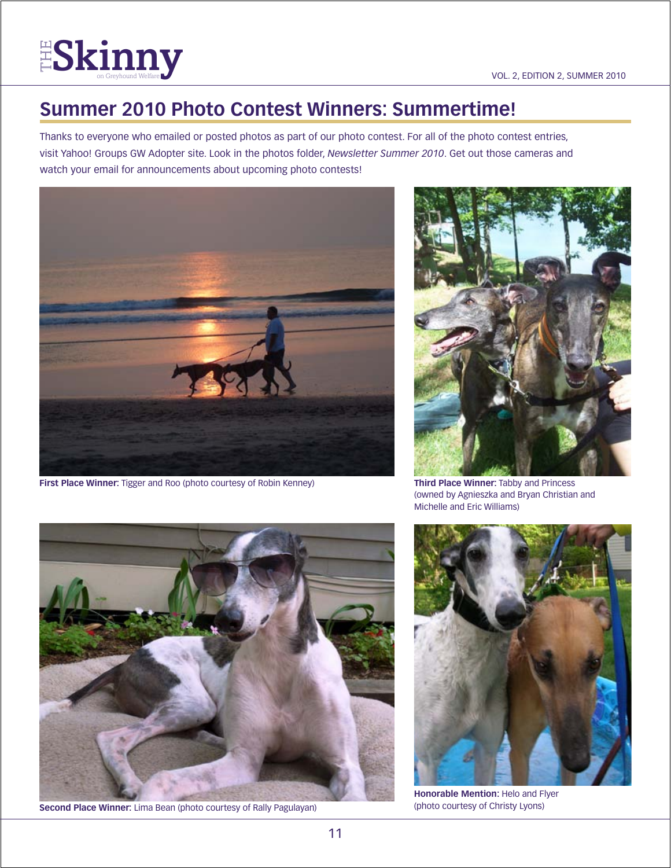

## **Summer 2010 Photo Contest Winners: Summertime!**

Thanks to everyone who emailed or posted photos as part of our photo contest. For all of the photo contest entries, visit Yahoo! Groups GW Adopter site. Look in the photos folder, *Newsletter Summer 2010*. Get out those cameras and watch your email for announcements about upcoming photo contests!



**First Place Winner:** Tigger and Roo (photo courtesy of Robin Kenney)



**Third Place Winner:** Tabby and Princess (owned by Agnieszka and Bryan Christian and Michelle and Eric Williams)



**Second Place Winner:** Lima Bean (photo courtesy of Rally Pagulayan)



**Honorable Mention:** Helo and Flyer (photo courtesy of Christy Lyons)